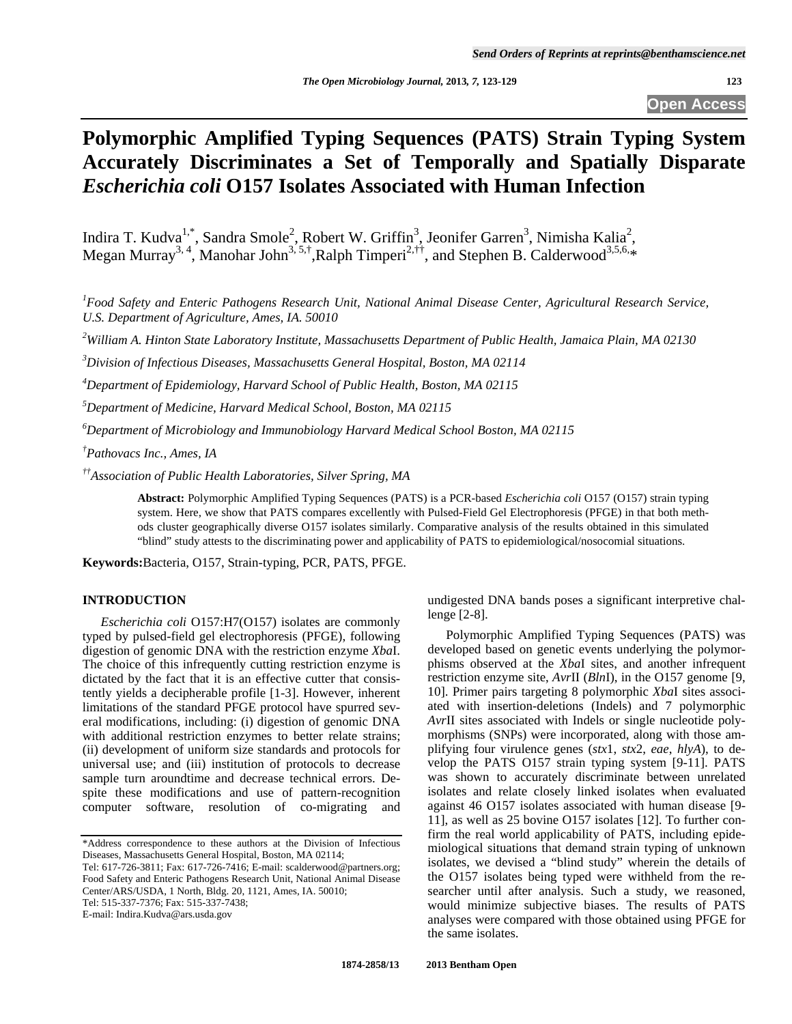**Open Access** 

# **Polymorphic Amplified Typing Sequences (PATS) Strain Typing System Accurately Discriminates a Set of Temporally and Spatially Disparate**  *Escherichia coli* **O157 Isolates Associated with Human Infection**

Indira T. Kudva<sup>1,\*</sup>, Sandra Smole<sup>2</sup>, Robert W. Griffin<sup>3</sup>, Jeonifer Garren<sup>3</sup>, Nimisha Kalia<sup>2</sup>, Megan Murray<sup>3, 4</sup>, Manohar John<sup>3, 5,†</sup>,Ralph Timperi<sup>2,††</sup>, and Stephen B. Calderwood<sup>3,5,6,\*</sup>

<sup>1</sup> Food Safety and Enteric Pathogens Research Unit, National Animal Disease Center, Agricultural Research Service, *U.S. Department of Agriculture, Ames, IA. 50010* 

*2 William A. Hinton State Laboratory Institute, Massachusetts Department of Public Health, Jamaica Plain, MA 02130* 

*3 Division of Infectious Diseases, Massachusetts General Hospital, Boston, MA 02114* 

*4 Department of Epidemiology, Harvard School of Public Health, Boston, MA 02115* 

*5 Department of Medicine, Harvard Medical School, Boston, MA 02115* 

*6 Department of Microbiology and Immunobiology Harvard Medical School Boston, MA 02115* 

*† Pathovacs Inc., Ames, IA* 

*††Association of Public Health Laboratories, Silver Spring, MA* 

**Abstract:** Polymorphic Amplified Typing Sequences (PATS) is a PCR-based *Escherichia coli* O157 (O157) strain typing system. Here, we show that PATS compares excellently with Pulsed-Field Gel Electrophoresis (PFGE) in that both methods cluster geographically diverse O157 isolates similarly. Comparative analysis of the results obtained in this simulated "blind" study attests to the discriminating power and applicability of PATS to epidemiological/nosocomial situations.

**Keywords:**Bacteria, O157, Strain-typing, PCR, PATS, PFGE.

## **INTRODUCTION**

 *Escherichia coli* O157:H7(O157) isolates are commonly typed by pulsed-field gel electrophoresis (PFGE), following digestion of genomic DNA with the restriction enzyme *Xba*I. The choice of this infrequently cutting restriction enzyme is dictated by the fact that it is an effective cutter that consistently yields a decipherable profile [1-3]. However, inherent limitations of the standard PFGE protocol have spurred several modifications, including: (i) digestion of genomic DNA with additional restriction enzymes to better relate strains; (ii) development of uniform size standards and protocols for universal use; and (iii) institution of protocols to decrease sample turn aroundtime and decrease technical errors. Despite these modifications and use of pattern-recognition computer software, resolution of co-migrating and

E-mail: Indira.Kudva@ars.usda.gov

undigested DNA bands poses a significant interpretive challenge [2-8].

 Polymorphic Amplified Typing Sequences (PATS) was developed based on genetic events underlying the polymorphisms observed at the *Xba*I sites, and another infrequent restriction enzyme site, *Avr*II (*Bln*I), in the O157 genome [9, 10]. Primer pairs targeting 8 polymorphic *Xba*I sites associated with insertion-deletions (Indels) and 7 polymorphic *Avr*II sites associated with Indels or single nucleotide polymorphisms (SNPs) were incorporated, along with those amplifying four virulence genes (*stx*1, *stx*2, *eae*, *hlyA*), to develop the PATS O157 strain typing system [9-11]. PATS was shown to accurately discriminate between unrelated isolates and relate closely linked isolates when evaluated against 46 O157 isolates associated with human disease [9- 11], as well as 25 bovine O157 isolates [12]. To further confirm the real world applicability of PATS, including epidemiological situations that demand strain typing of unknown isolates, we devised a "blind study" wherein the details of the O157 isolates being typed were withheld from the researcher until after analysis. Such a study, we reasoned, would minimize subjective biases. The results of PATS analyses were compared with those obtained using PFGE for the same isolates.

<sup>\*</sup>Address correspondence to these authors at the Division of Infectious Diseases, Massachusetts General Hospital, Boston, MA 02114;

Tel: 617-726-3811; Fax: 617-726-7416; E-mail: scalderwood@partners.org; Food Safety and Enteric Pathogens Research Unit, National Animal Disease Center/ARS/USDA, 1 North, Bldg. 20, 1121, Ames, IA. 50010; Tel: 515-337-7376; Fax: 515-337-7438;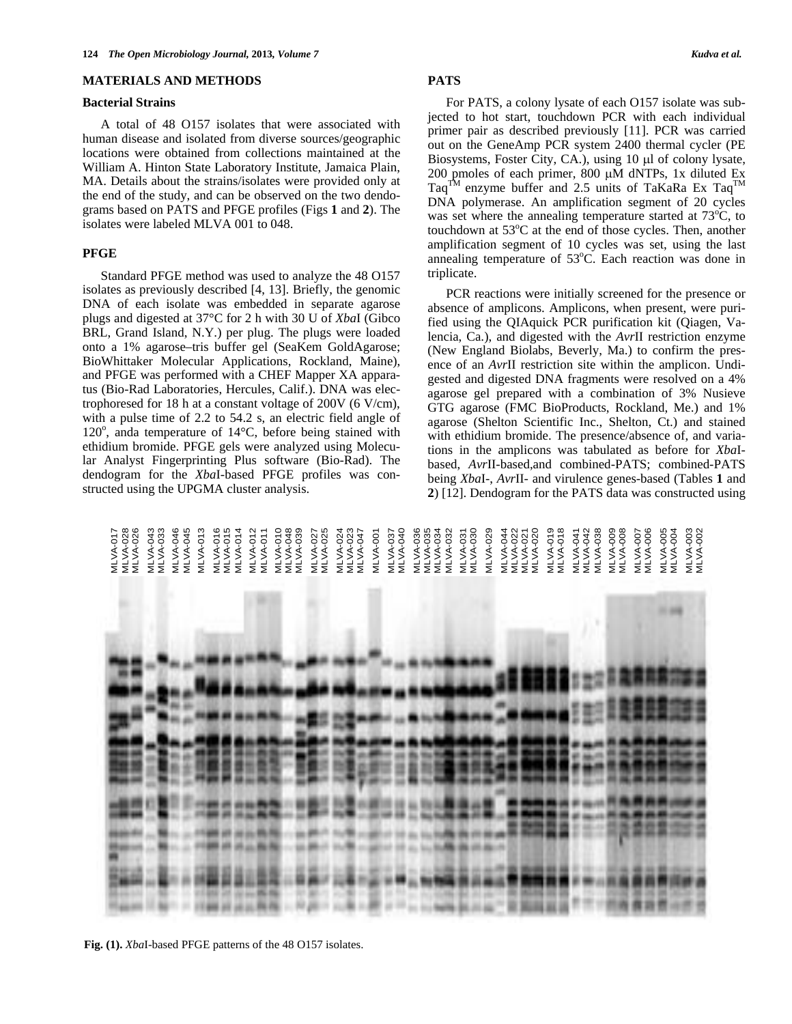#### **MATERIALS AND METHODS**

#### **Bacterial Strains**

 A total of 48 O157 isolates that were associated with human disease and isolated from diverse sources/geographic locations were obtained from collections maintained at the William A. Hinton State Laboratory Institute, Jamaica Plain, MA. Details about the strains/isolates were provided only at the end of the study, and can be observed on the two dendograms based on PATS and PFGE profiles (Figs **1** and **2**). The isolates were labeled MLVA 001 to 048.

#### **PFGE**

 Standard PFGE method was used to analyze the 48 O157 isolates as previously described [4, 13]. Briefly, the genomic DNA of each isolate was embedded in separate agarose plugs and digested at 37°C for 2 h with 30 U of *Xba*I (Gibco BRL, Grand Island, N.Y.) per plug. The plugs were loaded onto a 1% agarose–tris buffer gel (SeaKem GoldAgarose; BioWhittaker Molecular Applications, Rockland, Maine), and PFGE was performed with a CHEF Mapper XA apparatus (Bio-Rad Laboratories, Hercules, Calif.). DNA was electrophoresed for 18 h at a constant voltage of 200V (6 V/cm), with a pulse time of 2.2 to 54.2 s, an electric field angle of 120°, anda temperature of 14°C, before being stained with ethidium bromide. PFGE gels were analyzed using Molecular Analyst Fingerprinting Plus software (Bio-Rad). The dendogram for the *Xba*I-based PFGE profiles was constructed using the UPGMA cluster analysis.

# **PATS**

 For PATS, a colony lysate of each O157 isolate was subjected to hot start, touchdown PCR with each individual primer pair as described previously [11]. PCR was carried out on the GeneAmp PCR system 2400 thermal cycler (PE Biosystems, Foster City, CA.), using  $10 \mu l$  of colony lysate, 200 pmoles of each primer,  $800 \mu M$  dNTPs, 1x diluted Ex Taq<sup>TM</sup> enzyme buffer and 2.5 units of TaKaRa Ex Taq<sup>TM</sup> DNA polymerase. An amplification segment of 20 cycles was set where the annealing temperature started at  $73^{\circ}$ C, to touchdown at 53°C at the end of those cycles. Then, another amplification segment of 10 cycles was set, using the last annealing temperature of  $53^{\circ}$ C. Each reaction was done in triplicate.

 PCR reactions were initially screened for the presence or absence of amplicons. Amplicons, when present, were purified using the QIAquick PCR purification kit (Qiagen, Valencia, Ca.), and digested with the *Avr*II restriction enzyme (New England Biolabs, Beverly, Ma.) to confirm the presence of an *Avr*II restriction site within the amplicon. Undigested and digested DNA fragments were resolved on a 4% agarose gel prepared with a combination of 3% Nusieve GTG agarose (FMC BioProducts, Rockland, Me.) and 1% agarose (Shelton Scientific Inc., Shelton, Ct.) and stained with ethidium bromide. The presence/absence of, and variations in the amplicons was tabulated as before for *Xba*Ibased, *Avr*II-based,and combined-PATS; combined-PATS being *Xba*I-, *Avr*II- and virulence genes-based (Tables **1** and **2**) [12]. Dendogram for the PATS data was constructed using

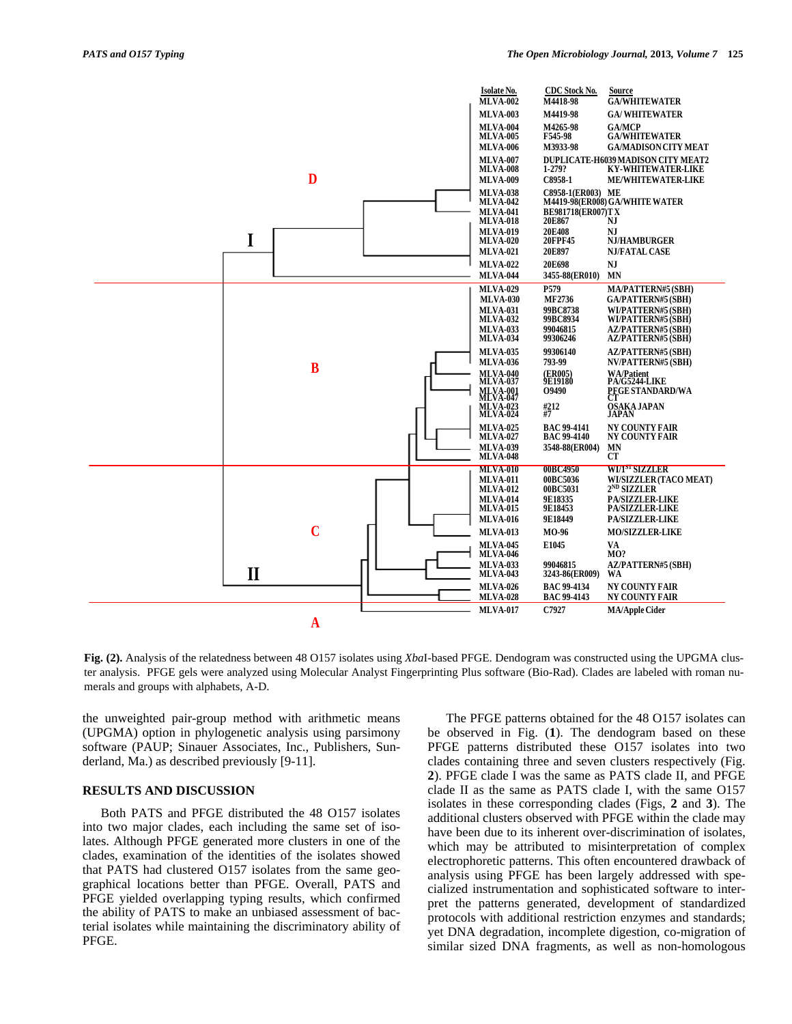

**Fig. (2).** Analysis of the relatedness between 48 O157 isolates using *Xba*I-based PFGE. Dendogram was constructed using the UPGMA cluster analysis. PFGE gels were analyzed using Molecular Analyst Fingerprinting Plus software (Bio-Rad). Clades are labeled with roman numerals and groups with alphabets, A-D.

the unweighted pair-group method with arithmetic means (UPGMA) option in phylogenetic analysis using parsimony software (PAUP; Sinauer Associates, Inc., Publishers, Sunderland, Ma.) as described previously [9-11].

#### **RESULTS AND DISCUSSION**

 Both PATS and PFGE distributed the 48 O157 isolates into two major clades, each including the same set of isolates. Although PFGE generated more clusters in one of the clades, examination of the identities of the isolates showed that PATS had clustered O157 isolates from the same geographical locations better than PFGE. Overall, PATS and PFGE yielded overlapping typing results, which confirmed the ability of PATS to make an unbiased assessment of bacterial isolates while maintaining the discriminatory ability of PFGE.

 The PFGE patterns obtained for the 48 O157 isolates can be observed in Fig. (**1**). The dendogram based on these PFGE patterns distributed these O157 isolates into two clades containing three and seven clusters respectively (Fig. **2**). PFGE clade I was the same as PATS clade II, and PFGE clade II as the same as PATS clade I, with the same O157 isolates in these corresponding clades (Figs, **2** and **3**). The additional clusters observed with PFGE within the clade may have been due to its inherent over-discrimination of isolates, which may be attributed to misinterpretation of complex electrophoretic patterns. This often encountered drawback of analysis using PFGE has been largely addressed with specialized instrumentation and sophisticated software to interpret the patterns generated, development of standardized protocols with additional restriction enzymes and standards; yet DNA degradation, incomplete digestion, co-migration of similar sized DNA fragments, as well as non-homologous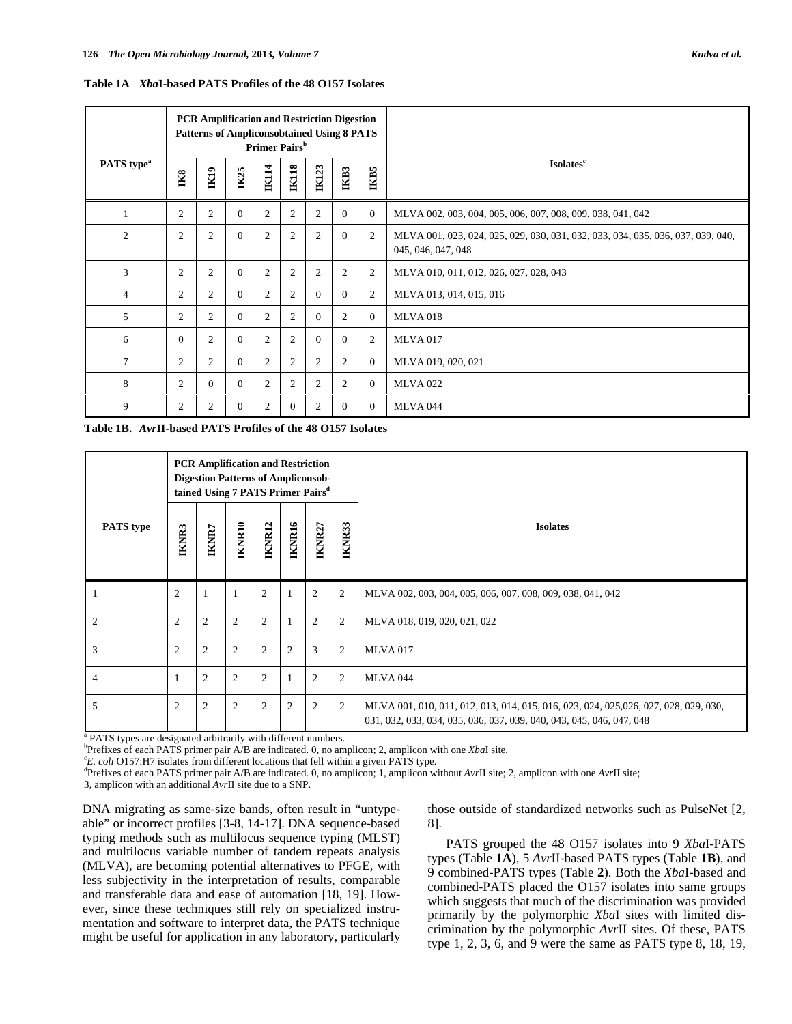|                        |                |                  | <b>PCR Amplification and Restriction Digestion</b><br><b>Patterns of Ampliconsobtained Using 8 PATS</b> |                | Primer Pairs <sup>b</sup> |                |                |                | <b>Isolates</b> <sup>c</sup>                                                                          |  |  |  |  |
|------------------------|----------------|------------------|---------------------------------------------------------------------------------------------------------|----------------|---------------------------|----------------|----------------|----------------|-------------------------------------------------------------------------------------------------------|--|--|--|--|
| PATS type <sup>a</sup> | IK8            | I <sub>K19</sub> | <b>IK25</b>                                                                                             | <b>IK114</b>   | IK118                     | <b>IK123</b>   | IKB3           | IKB5           |                                                                                                       |  |  |  |  |
|                        | 2              | $\overline{c}$   | $\Omega$                                                                                                | $\overline{2}$ | 2                         | $\overline{2}$ | $\Omega$       | $\mathbf{0}$   | MLVA 002, 003, 004, 005, 006, 007, 008, 009, 038, 041, 042                                            |  |  |  |  |
| $\mathfrak{2}$         | 2              | $\boldsymbol{2}$ | $\Omega$                                                                                                | $\overline{2}$ | $\overline{c}$            | $\overline{2}$ | $\Omega$       | 2              | MLVA 001, 023, 024, 025, 029, 030, 031, 032, 033, 034, 035, 036, 037, 039, 040,<br>045, 046, 047, 048 |  |  |  |  |
| 3                      | 2              | $\overline{2}$   | $\Omega$                                                                                                | $\overline{2}$ | 2                         | 2              | $\overline{c}$ | 2              | MLVA 010, 011, 012, 026, 027, 028, 043                                                                |  |  |  |  |
| $\overline{4}$         | 2              | 2                | $\Omega$                                                                                                | $\overline{2}$ | $\overline{c}$            | $\Omega$       | $\Omega$       | $\mathfrak{2}$ | MLVA 013, 014, 015, 016                                                                               |  |  |  |  |
| 5                      | 2              | $\overline{2}$   | $\Omega$                                                                                                | $\overline{2}$ | 2                         | $\Omega$       | $\overline{c}$ | $\mathbf{0}$   | <b>MLVA 018</b>                                                                                       |  |  |  |  |
| 6                      | $\Omega$       | $\overline{2}$   | $\Omega$                                                                                                | $\overline{2}$ | 2                         | $\Omega$       | $\Omega$       | $\mathfrak{2}$ | <b>MLVA 017</b>                                                                                       |  |  |  |  |
| $\overline{7}$         | 2              | $\mathfrak{2}$   | $\Omega$                                                                                                | $\overline{2}$ | 2                         | 2              | $\overline{2}$ | $\theta$       | MLVA 019, 020, 021                                                                                    |  |  |  |  |
| 8                      | 2              | $\Omega$         | $\Omega$                                                                                                | $\overline{2}$ | 2                         | 2              | $\overline{c}$ | $\theta$       | <b>MLVA 022</b>                                                                                       |  |  |  |  |
| 9                      | $\overline{c}$ | $\mathfrak{2}$   | $\Omega$                                                                                                | $\overline{2}$ | $\theta$                  | 2              | $\Omega$       | $\Omega$       | <b>MLVA 044</b>                                                                                       |  |  |  |  |

**Table 1A** *Xba***I-based PATS Profiles of the 48 O157 Isolates** 

|  | Table 1B. AvrII-based PATS Profiles of the 48 O157 Isolates |  |  |
|--|-------------------------------------------------------------|--|--|
|--|-------------------------------------------------------------|--|--|

|                  |                | <b>PCR Amplification and Restriction</b><br><b>Digestion Patterns of Ampliconsob-</b><br>tained Using 7 PATS Primer Pairs <sup>d</sup> |                |                |                |                |                |                                                                                                                                                              |  |  |  |  |  |
|------------------|----------------|----------------------------------------------------------------------------------------------------------------------------------------|----------------|----------------|----------------|----------------|----------------|--------------------------------------------------------------------------------------------------------------------------------------------------------------|--|--|--|--|--|
| <b>PATS</b> type | <b>IKNR3</b>   | IKNR7                                                                                                                                  | IKNR10         | IKNR12         | IKNR16         | IKNR27         | IKNR33         | <b>Isolates</b>                                                                                                                                              |  |  |  |  |  |
|                  | $\overline{2}$ |                                                                                                                                        |                | $\overline{2}$ |                | $\overline{2}$ | 2              | MLVA 002, 003, 004, 005, 006, 007, 008, 009, 038, 041, 042                                                                                                   |  |  |  |  |  |
| 2                | $\overline{2}$ | 2                                                                                                                                      | $\overline{2}$ | $\mathfrak{2}$ |                | $\overline{2}$ | $\overline{2}$ | MLVA 018, 019, 020, 021, 022                                                                                                                                 |  |  |  |  |  |
| 3                | 2              | $\overline{c}$                                                                                                                         | $\overline{2}$ | $\mathfrak{2}$ | $\overline{c}$ | 3              | 2              | <b>MLVA 017</b>                                                                                                                                              |  |  |  |  |  |
| 4                | 1              | $\overline{2}$                                                                                                                         | $\overline{2}$ | $\mathfrak{2}$ |                | $\overline{2}$ | $\overline{2}$ | <b>MLVA 044</b>                                                                                                                                              |  |  |  |  |  |
| 5                | $\mathfrak{2}$ | $\mathfrak{2}$                                                                                                                         | $\mathfrak{2}$ | $\overline{c}$ | $\overline{2}$ | $\overline{2}$ | $\overline{2}$ | MLVA 001, 010, 011, 012, 013, 014, 015, 016, 023, 024, 025, 026, 027, 028, 029, 030,<br>031, 032, 033, 034, 035, 036, 037, 039, 040, 043, 045, 046, 047, 048 |  |  |  |  |  |

<sup>a</sup> PATS types are designated arbitrarily with different numbers.

 $b^b$ Prefixes of each PATS primer pair A/B are indicated. 0, no amplicon; 2, amplicon with one *XbaI* site.  $c^c E$  and  $c^d E^c$  and  $c^d E^c$  and  $c^e E$  and  $c^e E$  and  $c^d E^c$  and  $c^e E$  and  $c^e E^c$  and  $c^e E^c$  and  $c^e$ 

<sup>c</sup>E. coli O157:H7 isolates from different locations that fell within a given PATS type.

Prefixes of each PATS primer pair A/B are indicated. 0, no amplicon; 1, amplicon without *Avr*II site; 2, amplicon with one *Avr*II site;

3, amplicon with an additional *Avr*II site due to a SNP.

DNA migrating as same-size bands, often result in "untypeable" or incorrect profiles [3-8, 14-17]. DNA sequence-based typing methods such as multilocus sequence typing (MLST) and multilocus variable number of tandem repeats analysis (MLVA), are becoming potential alternatives to PFGE, with less subjectivity in the interpretation of results, comparable and transferable data and ease of automation [18, 19]. However, since these techniques still rely on specialized instrumentation and software to interpret data, the PATS technique might be useful for application in any laboratory, particularly those outside of standardized networks such as PulseNet [2, 8].

 PATS grouped the 48 O157 isolates into 9 *Xba*I-PATS types (Table **1A**), 5 *Avr*II-based PATS types (Table **1B**), and 9 combined-PATS types (Table **2**). Both the *Xba*I-based and combined-PATS placed the O157 isolates into same groups which suggests that much of the discrimination was provided primarily by the polymorphic *Xba*I sites with limited discrimination by the polymorphic *Avr*II sites. Of these, PATS type 1, 2, 3, 6, and 9 were the same as PATS type 8, 18, 19,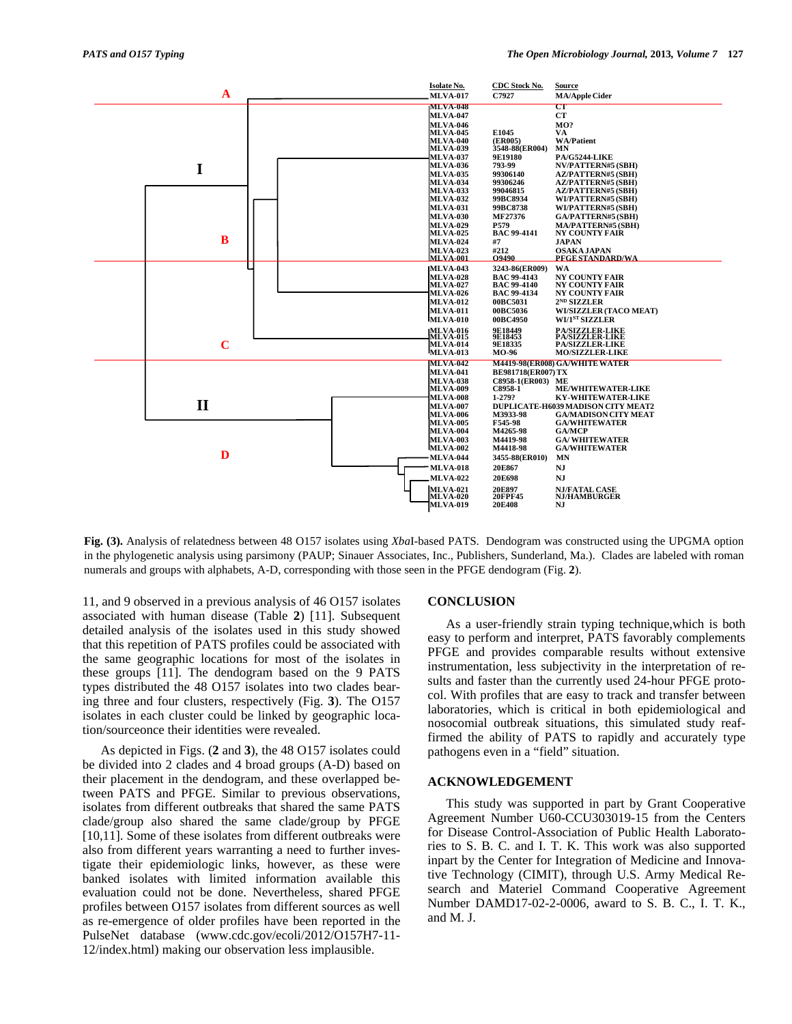

**Fig. (3).** Analysis of relatedness between 48 O157 isolates using *Xba*I-based PATS. Dendogram was constructed using the UPGMA option in the phylogenetic analysis using parsimony (PAUP; Sinauer Associates, Inc., Publishers, Sunderland, Ma.). Clades are labeled with roman numerals and groups with alphabets, A-D, corresponding with those seen in the PFGE dendogram (Fig. **2**).

11, and 9 observed in a previous analysis of 46 O157 isolates associated with human disease (Table **2**) [11]. Subsequent detailed analysis of the isolates used in this study showed that this repetition of PATS profiles could be associated with the same geographic locations for most of the isolates in these groups [11]. The dendogram based on the 9 PATS types distributed the 48 O157 isolates into two clades bearing three and four clusters, respectively (Fig. **3**). The O157 isolates in each cluster could be linked by geographic location/sourceonce their identities were revealed.

 As depicted in Figs. (**2** and **3**), the 48 O157 isolates could be divided into 2 clades and 4 broad groups (A-D) based on their placement in the dendogram, and these overlapped between PATS and PFGE. Similar to previous observations, isolates from different outbreaks that shared the same PATS clade/group also shared the same clade/group by PFGE [10,11]. Some of these isolates from different outbreaks were also from different years warranting a need to further investigate their epidemiologic links, however, as these were banked isolates with limited information available this evaluation could not be done. Nevertheless, shared PFGE profiles between O157 isolates from different sources as well as re-emergence of older profiles have been reported in the PulseNet database (www.cdc.gov/ecoli/2012/O157H7-11- 12/index.html) making our observation less implausible.

#### **CONCLUSION**

 As a user-friendly strain typing technique,which is both easy to perform and interpret, PATS favorably complements PFGE and provides comparable results without extensive instrumentation, less subjectivity in the interpretation of results and faster than the currently used 24-hour PFGE protocol. With profiles that are easy to track and transfer between laboratories, which is critical in both epidemiological and nosocomial outbreak situations, this simulated study reaffirmed the ability of PATS to rapidly and accurately type pathogens even in a "field" situation.

#### **ACKNOWLEDGEMENT**

 This study was supported in part by Grant Cooperative Agreement Number U60-CCU303019-15 from the Centers for Disease Control-Association of Public Health Laboratories to S. B. C. and I. T. K. This work was also supported inpart by the Center for Integration of Medicine and Innovative Technology (CIMIT), through U.S. Army Medical Research and Materiel Command Cooperative Agreement Number DAMD17-02-2-0006, award to S. B. C., I. T. K., and M. J.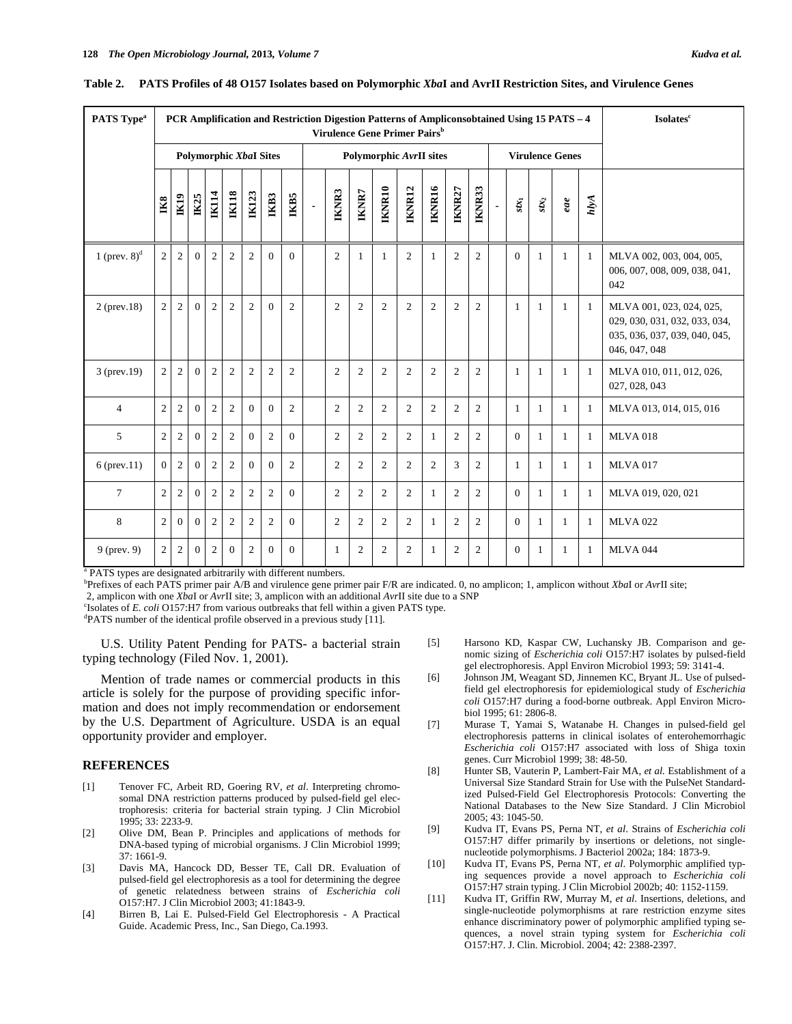| PATS Type <sup>a</sup> | PCR Amplification and Restriction Digestion Patterns of Ampliconsobtained Using 15 PATS - 4<br>Virulence Gene Primer Pairs <sup>b</sup> |                               |              |                |                |                |                |                |                                |                | <b>Isolates</b> <sup>c</sup> |                |                |                |                |                |                |                              |                   |                        |              |                                                                                                             |
|------------------------|-----------------------------------------------------------------------------------------------------------------------------------------|-------------------------------|--------------|----------------|----------------|----------------|----------------|----------------|--------------------------------|----------------|------------------------------|----------------|----------------|----------------|----------------|----------------|----------------|------------------------------|-------------------|------------------------|--------------|-------------------------------------------------------------------------------------------------------------|
|                        |                                                                                                                                         | <b>Polymorphic XbaI Sites</b> |              |                |                |                |                |                | <b>Polymorphic AvrII sites</b> |                |                              |                |                |                |                |                |                |                              |                   | <b>Virulence Genes</b> |              |                                                                                                             |
|                        | $_{\rm IR8}$                                                                                                                            | $I\!\!K19$                    | IX25         | <b>IK14</b>    | <b>IK118</b>   | <b>IK123</b>   | IKB3           | <b>IKB5</b>    | $\blacksquare$                 | <b>IKNR3</b>   | IKNR7                        | IKNR10         | IKNR12         | IKNR16         | IKNR27         | IKNR33         | $\blacksquare$ | $\boldsymbol{\mathit{xx}_1}$ | $\mathfrak{su}_2$ | eae                    | hlyA         |                                                                                                             |
| 1 (prev. $8)^d$        | $\overline{c}$                                                                                                                          | $\mathfrak{2}$                | $\Omega$     | $\mathfrak{2}$ | 2              | $\overline{c}$ | $\Omega$       | $\Omega$       |                                | $\overline{c}$ | $\mathbf{1}$                 | 1              | $\overline{c}$ | -1             | $\overline{c}$ | $\overline{2}$ |                | $\Omega$                     | 1                 | -1                     | 1            | MLVA 002, 003, 004, 005,<br>006, 007, 008, 009, 038, 041,<br>042                                            |
| $2$ (prev.18)          | $\overline{c}$                                                                                                                          | 2                             | $\Omega$     | $\overline{c}$ | $\overline{c}$ | $\overline{2}$ | $\Omega$       | $\overline{2}$ |                                | 2              | $\overline{2}$               | $\overline{2}$ | $\overline{c}$ | $\overline{c}$ | 2              | $\overline{c}$ |                | $\mathbf{1}$                 | 1                 | 1                      | -1           | MLVA 001, 023, 024, 025,<br>029, 030, 031, 032, 033, 034,<br>035, 036, 037, 039, 040, 045,<br>046, 047, 048 |
| $3$ (prev. 19)         | 2                                                                                                                                       | 2                             | $\mathbf{0}$ | $\overline{c}$ | 2              | $\overline{c}$ | $\overline{c}$ | $\overline{c}$ |                                | $\overline{2}$ | $\overline{c}$               | $\overline{2}$ | 2              | 2              | $\overline{2}$ | $\overline{c}$ |                | 1                            | 1                 | 1                      | 1            | MLVA 010, 011, 012, 026,<br>027, 028, 043                                                                   |
| 4                      | $\overline{c}$                                                                                                                          | 2                             | $\mathbf{0}$ | $\overline{c}$ | $\overline{c}$ | $\Omega$       | $\mathbf{0}$   | $\overline{2}$ |                                | 2              | $\overline{2}$               | $\mathfrak{2}$ | $\overline{c}$ | 2              | 2              | $\overline{2}$ |                | $\mathbf{1}$                 | 1                 | 1                      | 1            | MLVA 013, 014, 015, 016                                                                                     |
| 5                      | $\mathfrak{2}$                                                                                                                          | 2                             | $\Omega$     | $\mathfrak{2}$ | $\overline{c}$ | $\Omega$       | $\mathfrak{2}$ | $\Omega$       |                                | $\overline{2}$ | $\overline{2}$               | $\overline{c}$ | $\overline{c}$ | -1             | $\overline{c}$ | $\overline{2}$ |                | $\mathbf{0}$                 | -1                | 1                      | 1            | <b>MLVA 018</b>                                                                                             |
| $6$ (prev.11)          | $\Omega$                                                                                                                                | 2                             | $\Omega$     | $\mathfrak{2}$ | 2              | $\Omega$       | $\theta$       | $\overline{2}$ |                                | $\overline{2}$ | $\overline{2}$               | 2              | $\overline{c}$ | $\overline{c}$ | 3              | $\overline{c}$ |                | $\mathbf{1}$                 | 1                 | 1                      | 1            | <b>MLVA 017</b>                                                                                             |
| 7                      | $\overline{c}$                                                                                                                          | $\overline{c}$                | $\Omega$     | $\overline{c}$ | 2              | $\overline{c}$ | $\mathbf{2}$   | $\Omega$       |                                | 2              | $\overline{2}$               | $\overline{2}$ | 2              | 1              | 2              | $\overline{c}$ |                | $\Omega$                     | 1                 | 1                      | 1            | MLVA 019, 020, 021                                                                                          |
| 8                      | $\overline{c}$                                                                                                                          | $\Omega$                      | $\Omega$     | $\mathfrak{2}$ | $\overline{c}$ | $\overline{c}$ | $\overline{c}$ | $\Omega$       |                                | $\overline{2}$ | $\overline{2}$               | 2              | $\overline{c}$ | 1              | 2              | $\overline{2}$ |                | $\Omega$                     | 1                 | 1                      | $\mathbf{1}$ | <b>MLVA 022</b>                                                                                             |
| $9$ (prev. 9)          | $\overline{c}$                                                                                                                          | 2                             | $\mathbf{0}$ | 2              | $\overline{0}$ | $\overline{c}$ | $\Omega$       | $\Omega$       |                                | $\mathbf{1}$   | $\overline{2}$               | $\overline{2}$ | 2              | -1             | 2              | $\overline{2}$ |                | $\Omega$                     | 1                 | 1                      | $\mathbf{1}$ | <b>MLVA 044</b>                                                                                             |

|  | Table 2. PATS Profiles of 48 0157 Isolates based on Polymorphic XbaI and AvrII Restriction Sites, and Virulence Genes |  |
|--|-----------------------------------------------------------------------------------------------------------------------|--|
|  |                                                                                                                       |  |

<sup>a</sup> PATS types are designated arbitrarily with different numbers.

b Prefixes of each PATS primer pair A/B and virulence gene primer pair F/R are indicated. 0, no amplicon; 1, amplicon without *Xba*I or *Avr*II site; 2, amplicon with one *Xba*I or *Avr*II site; 3, amplicon with an additional *Avr*II site due to a SNP c

<sup>c</sup>Isolates of *E. coli* O157:H7 from various outbreaks that fell within a given PATS type.

PATS number of the identical profile observed in a previous study [11].

 U.S. Utility Patent Pending for PATS- a bacterial strain typing technology (Filed Nov. 1, 2001).

Mention of trade names or commercial products in this article is solely for the purpose of providing specific information and does not imply recommendation or endorsement by the U.S. Department of Agriculture. USDA is an equal opportunity provider and employer.

### **REFERENCES**

- [1] Tenover FC, Arbeit RD, Goering RV, *et al*. Interpreting chromosomal DNA restriction patterns produced by pulsed-field gel electrophoresis: criteria for bacterial strain typing. J Clin Microbiol 1995; 33: 2233-9.
- [2] Olive DM, Bean P. Principles and applications of methods for DNA-based typing of microbial organisms. J Clin Microbiol 1999; 37: 1661-9.
- [3] Davis MA, Hancock DD, Besser TE, Call DR. Evaluation of pulsed-field gel electrophoresis as a tool for determining the degree of genetic relatedness between strains of *Escherichia coli*  O157:H7. J Clin Microbiol 2003; 41:1843-9.
- [4] Birren B, Lai E. Pulsed-Field Gel Electrophoresis A Practical Guide. Academic Press, Inc., San Diego, Ca.1993.
- [5] Harsono KD, Kaspar CW, Luchansky JB. Comparison and genomic sizing of *Escherichia coli* O157:H7 isolates by pulsed-field gel electrophoresis. Appl Environ Microbiol 1993; 59: 3141-4.
- [6] Johnson JM, Weagant SD, Jinnemen KC, Bryant JL. Use of pulsedfield gel electrophoresis for epidemiological study of *Escherichia coli* O157:H7 during a food-borne outbreak. Appl Environ Microbiol 1995; 61: 2806-8.
- [7] Murase T, Yamai S, Watanabe H. Changes in pulsed-field gel electrophoresis patterns in clinical isolates of enterohemorrhagic *Escherichia coli* O157:H7 associated with loss of Shiga toxin genes. Curr Microbiol 1999; 38: 48-50.
- [8] Hunter SB, Vauterin P, Lambert-Fair MA, et al. Establishment of a Universal Size Standard Strain for Use with the PulseNet Standardized Pulsed-Field Gel Electrophoresis Protocols: Converting the National Databases to the New Size Standard. J Clin Microbiol 2005; 43: 1045-50.
- [9] Kudva IT, Evans PS, Perna NT, *et al*. Strains of *Escherichia coli*  O157:H7 differ primarily by insertions or deletions, not singlenucleotide polymorphisms. J Bacteriol 2002a; 184: 1873-9.
- [10] Kudva IT, Evans PS, Perna NT, *et al*. Polymorphic amplified typing sequences provide a novel approach to *Escherichia coli*  O157:H7 strain typing. J Clin Microbiol 2002b; 40: 1152-1159.
- [11] Kudva IT, Griffin RW, Murray M, *et al*. Insertions, deletions, and single-nucleotide polymorphisms at rare restriction enzyme sites enhance discriminatory power of polymorphic amplified typing sequences, a novel strain typing system for *Escherichia coli*  O157:H7. J. Clin. Microbiol. 2004; 42: 2388-2397.